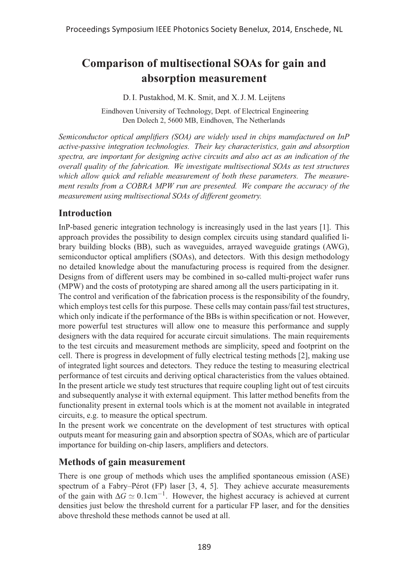# **Comparison of multisectional SOAs for gain and absorption measurement**

D. I. Pustakhod, M. K. Smit, and X. J. M. Leijtens

Eindhoven University of Technology, Dept. of Electrical Engineering Den Dolech 2, 5600 MB, Eindhoven, The Netherlands

*Semiconductor optical amplifiers (SOA) are widely used in chips manufactured on InP active-passive integration technologies. Their key characteristics, gain and absorption spectra, are important for designing active circuits and also act as an indication of the overall quality of the fabrication. We investigate multisectional SOAs as test structures which allow quick and reliable measurement of both these parameters. The measurement results from a COBRA MPW run are presented. We compare the accuracy of the measurement using multisectional SOAs of different geometry.*

## **Introduction**

InP-based generic integration technology is increasingly used in the last years [1]. This approach provides the possibility to design complex circuits using standard qualified library building blocks (BB), such as waveguides, arrayed waveguide gratings (AWG), semiconductor optical amplifiers (SOAs), and detectors. With this design methodology no detailed knowledge about the manufacturing process is required from the designer. Designs from of different users may be combined in so-called multi-project wafer runs (MPW) and the costs of prototyping are shared among all the users participating in it.

The control and verification of the fabrication process is the responsibility of the foundry, which employs test cells for this purpose. These cells may contain pass/fail test structures, which only indicate if the performance of the BBs is within specification or not. However, more powerful test structures will allow one to measure this performance and supply designers with the data required for accurate circuit simulations. The main requirements to the test circuits and measurement methods are simplicity, speed and footprint on the cell. There is progress in development of fully electrical testing methods [2], making use of integrated light sources and detectors. They reduce the testing to measuring electrical performance of test circuits and deriving optical characteristics from the values obtained. In the present article we study test structures that require coupling light out of test circuits and subsequently analyse it with external equipment. This latter method benefits from the functionality present in external tools which is at the moment not available in integrated circuits, e.g. to measure the optical spectrum.

In the present work we concentrate on the development of test structures with optical outputs meant for measuring gain and absorption spectra of SOAs, which are of particular importance for building on-chip lasers, amplifiers and detectors.

## **Methods of gain measurement**

There is one group of methods which uses the amplified spontaneous emission (ASE) spectrum of a Fabry–Pérot (FP) laser  $[3, 4, 5]$ . They achieve accurate measurements of the gain with  $\Delta G \simeq 0.1 \text{cm}^{-1}$ . However, the highest accuracy is achieved at current densities just below the threshold current for a particular FP laser, and for the densities above threshold these methods cannot be used at all.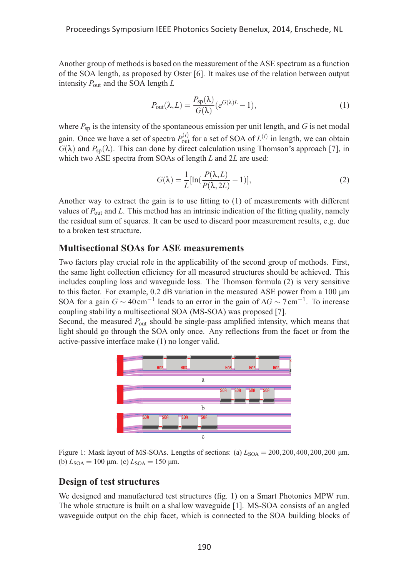Another group of methods is based on the measurement of the ASE spectrum as a function of the SOA length, as proposed by Oster [6]. It makes use of the relation between output intensity *P*out and the SOA length *L*

$$
P_{\text{out}}(\lambda, L) = \frac{P_{\text{sp}}(\lambda)}{G(\lambda)} (e^{G(\lambda)L} - 1),
$$
\n(1)

where  $P_{sp}$  is the intensity of the spontaneous emission per unit length, and  $G$  is net modal gain. Once we have a set of spectra  $P_{\text{out}}^{(i)}$  for a set of SOA of  $L^{(i)}$  in length, we can obtain  $G(\lambda)$  and  $P_{\text{sp}}(\lambda)$ . This can done by direct calculation using Thomson's approach [7], in which two ASE spectra from SOAs of length *L* and 2*L* are used:

$$
G(\lambda) = \frac{1}{L} [\ln(\frac{P(\lambda, L)}{P(\lambda, 2L)} - 1)],
$$
\n(2)

Another way to extract the gain is to use fitting to (1) of measurements with different values of *P*out and *L*. This method has an intrinsic indication of the fitting quality, namely the residual sum of squares. It can be used to discard poor measurement results, e.g. due to a broken test structure.

#### **Multisectional SOAs for ASE measurements**

Two factors play crucial role in the applicability of the second group of methods. First, the same light collection efficiency for all measured structures should be achieved. This includes coupling loss and waveguide loss. The Thomson formula (2) is very sensitive to this factor. For example, 0.2 dB variation in the measured ASE power from a 100 μm SOA for a gain  $G \sim 40 \text{ cm}^{-1}$  leads to an error in the gain of  $\Delta G \sim 7 \text{ cm}^{-1}$ . To increase coupling stability a multisectional SOA (MS-SOA) was proposed [7].

Second, the measured *P*out should be single-pass amplified intensity, which means that light should go through the SOA only once. Any reflections from the facet or from the active-passive interface make (1) no longer valid.



Figure 1: Mask layout of MS-SOAs. Lengths of sections: (a)  $L_{\text{SOA}} = 200,200,400,200,200 \text{ }\mu\text{m}$ . (b)  $L_{\text{SOA}} = 100 \text{ }\mu\text{m}$ . (c)  $L_{\text{SOA}} = 150 \text{ }\mu\text{m}$ .

#### **Design of test structures**

We designed and manufactured test structures (fig. 1) on a Smart Photonics MPW run. The whole structure is built on a shallow waveguide [1]. MS-SOA consists of an angled waveguide output on the chip facet, which is connected to the SOA building blocks of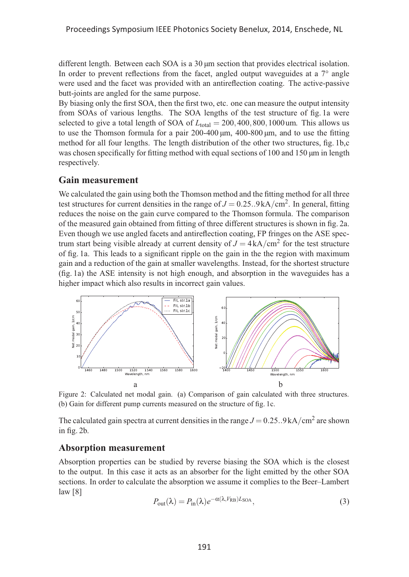different length. Between each SOA is a 30 μm section that provides electrical isolation. In order to prevent reflections from the facet, angled output waveguides at a 7° angle were used and the facet was provided with an antireflection coating. The active-passive butt-joints are angled for the same purpose.

By biasing only the first SOA, then the first two, etc. one can measure the output intensity from SOAs of various lengths. The SOA lengths of the test structure of fig. 1a were selected to give a total length of SOA of  $L_{total} = 200,400,800,1000$ um. This allows us to use the Thomson formula for a pair  $200-400 \mu m$ ,  $400-800 \mu m$ , and to use the fitting method for all four lengths. The length distribution of the other two structures, fig. 1b,c was chosen specifically for fitting method with equal sections of 100 and 150  $\mu$ m in length respectively.

#### **Gain measurement**

We calculated the gain using both the Thomson method and the fitting method for all three test structures for current densities in the range of  $J = 0.25..9$  kA/cm<sup>2</sup>. In general, fitting reduces the noise on the gain curve compared to the Thomson formula. The comparison of the measured gain obtained from fitting of three different structures is shown in fig. 2a. Even though we use angled facets and antireflection coating, FP fringes on the ASE spectrum start being visible already at current density of  $J = 4kA/cm^2$  for the test structure of fig. 1a. This leads to a significant ripple on the gain in the the region with maximum gain and a reduction of the gain at smaller wavelengths. Instead, for the shortest structure (fig. 1a) the ASE intensity is not high enough, and absorption in the waveguides has a higher impact which also results in incorrect gain values.



Figure 2: Calculated net modal gain. (a) Comparison of gain calculated with three structures. (b) Gain for different pump currents measured on the structure of fig. 1c.

The calculated gain spectra at current densities in the range  $J = 0.25$ ..9 kA/cm<sup>2</sup> are shown in fig. 2b.

#### **Absorption measurement**

Absorption properties can be studied by reverse biasing the SOA which is the closest to the output. In this case it acts as an absorber for the light emitted by the other SOA sections. In order to calculate the absorption we assume it complies to the Beer–Lambert law [8]

$$
P_{\text{out}}(\lambda) = P_{\text{in}}(\lambda) e^{-\alpha(\lambda, V_{\text{RB}}) L_{\text{SOA}}},\tag{3}
$$